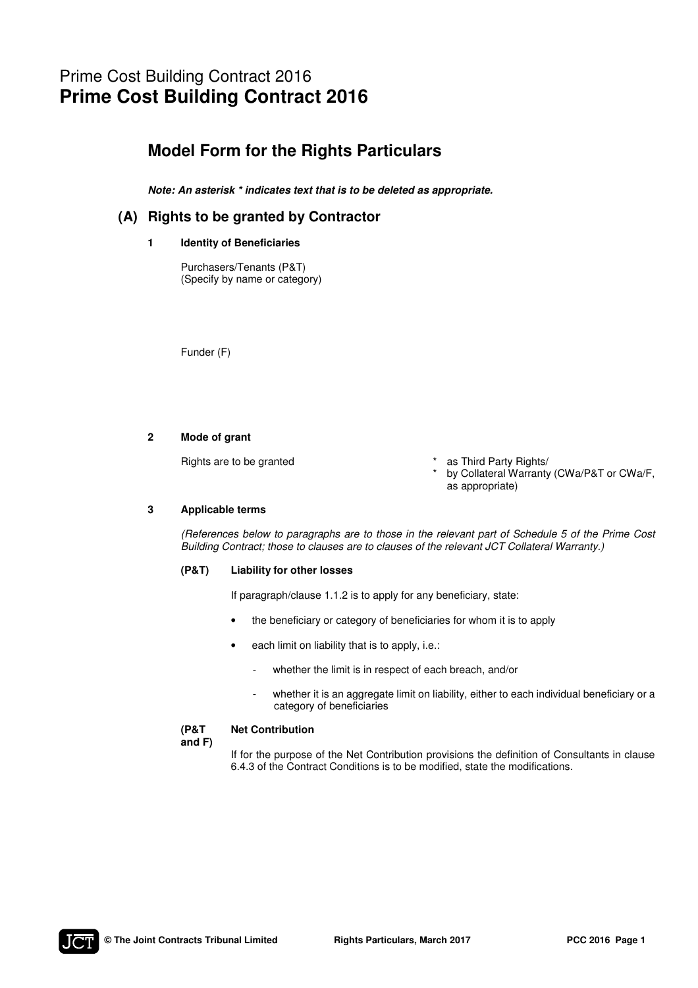# Prime Cost Building Contract 2016 **Prime Cost Building Contract 2016**

## **Model Form for the Rights Particulars**

*Note: An asterisk \* indicates text that is to be deleted as appropriate.* 

### **(A) Rights to be granted by Contractor**

### **1 Identity of Beneficiaries**

Purchasers/Tenants (P&T) (Specify by name or category)

Funder (F)

#### **2 Mode of grant**

Rights are to be granted

- as Third Party Rights/
- \* by Collateral Warranty (CWa/P&T or CWa/F, as appropriate)

#### **3 Applicable terms**

(References below to paragraphs are to those in the relevant part of Schedule 5 of the Prime Cost Building Contract; those to clauses are to clauses of the relevant JCT Collateral Warranty.)

#### **(P&T) Liability for other losses**

If paragraph/clause 1.1.2 is to apply for any beneficiary, state:

- the beneficiary or category of beneficiaries for whom it is to apply
- each limit on liability that is to apply, i.e.:
	- whether the limit is in respect of each breach, and/or
	- whether it is an aggregate limit on liability, either to each individual beneficiary or a category of beneficiaries

**(P&T** 

#### **Net Contribution**

**and F)** 

If for the purpose of the Net Contribution provisions the definition of Consultants in clause 6.4.3 of the Contract Conditions is to be modified, state the modifications.